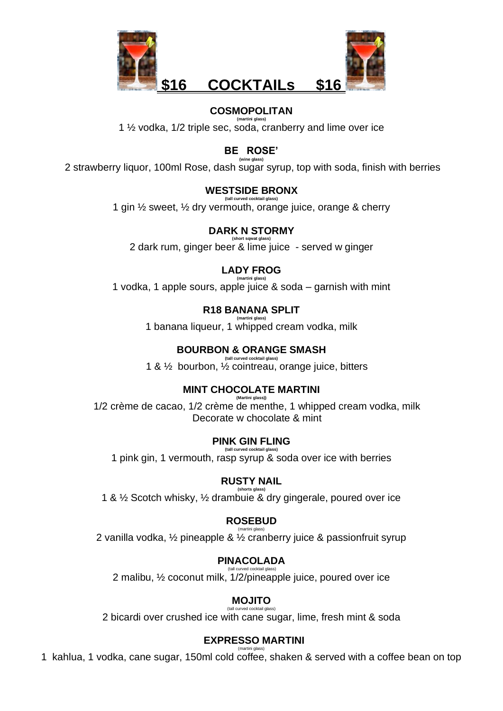

#### **COSMOPOLITAN (martini glass)**

1 ½ vodka, 1/2 triple sec, soda, cranberry and lime over ice

**BE ROSE'**

**(wine glass)** 2 strawberry liquor, 100ml Rose, dash sugar syrup, top with soda, finish with berries

### **WESTSIDE BRONX (tall curved cocktail glass)**

1 gin ½ sweet, ½ dry vermouth, orange juice, orange & cherry

## **DARK N STORMY**

**(short sqwat glass)** 2 dark rum, ginger beer & lime juice - served w ginger

# **LADY FROG**

**(martini glass)** 1 vodka, 1 apple sours, apple juice & soda – garnish with mint

### **R18 BANANA SPLIT (martini glass)**

1 banana liqueur, 1 whipped cream vodka, milk

### **BOURBON & ORANGE SMASH (tall curved cocktail glass)**

1 & ½ bourbon, ½ cointreau, orange juice, bitters

### **MINT CHOCOLATE MARTINI (Martini glass))**

1/2 crème de cacao, 1/2 crème de menthe, 1 whipped cream vodka, milk Decorate w chocolate & mint

## **PINK GIN FLING**

**(tall curved cocktail glass)** 1 pink gin, 1 vermouth, rasp syrup & soda over ice with berries

### **RUSTY NAIL**

**(shorts glass)** 1 & ½ Scotch whisky, ½ drambuie & dry gingerale, poured over ice

## **ROSEBUD**

(martini glass) 2 vanilla vodka, ½ pineapple & ½ cranberry juice & passionfruit syrup

### **PINACOLADA** (tall curved cocktail glass)

2 malibu, ½ coconut milk, 1/2/pineapple juice, poured over ice

#### **MOJITO** (tall curved cocktail glass)

2 bicardi over crushed ice with cane sugar, lime, fresh mint & soda

#### **EXPRESSO MARTINI**  (martini glass)

1 kahlua, 1 vodka, cane sugar, 150ml cold coffee, shaken & served with a coffee bean on top